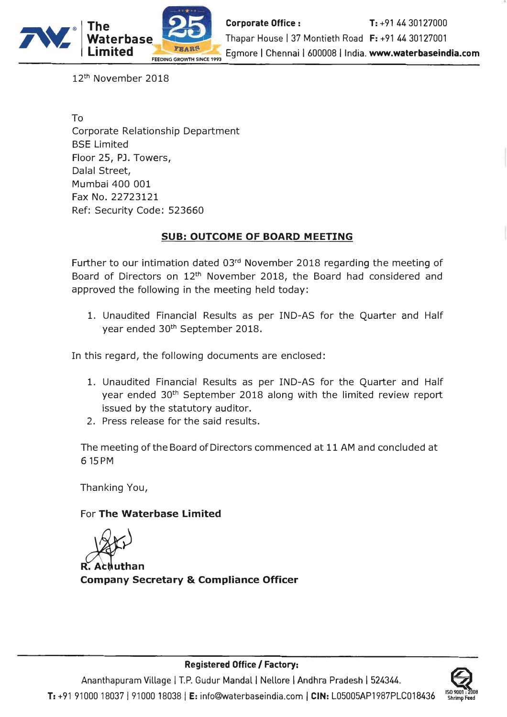

12th November 2018

To Corporate Relationship Department BSE Limited Floor 25, PJ. Towers, Dalal Street, Mumbai 400 001 Fax No. 22723121 Ref: Security Code: 523660

### **SUB: OUTCOME OF BOARD MEETING**

Further to our intimation dated 03rd November 2018 regarding the meeting of Board of Directors on 12th November 2018, the Board had considered and approved the following in the meeting held today:

1. Unaudited Financial Results as per IND-AS for the Quarter and Half year ended 30th September 2018.

In this regard, the following documents are enclosed:

- 1. Unaudited Financial Results as per IND-AS for the Quarter and Half year ended 30<sup>th</sup> September 2018 along with the limited review report issued by the statutory auditor.
- 2. Press release for the said results.

The meeting of the Board of Directors commenced at 11 AM and concluded at 6 15 PM

Thanking You,

### For **The Waterbase Limited**

R**ed**<br>R. Achuthan

**Company Secretary & Compliance Officer** 

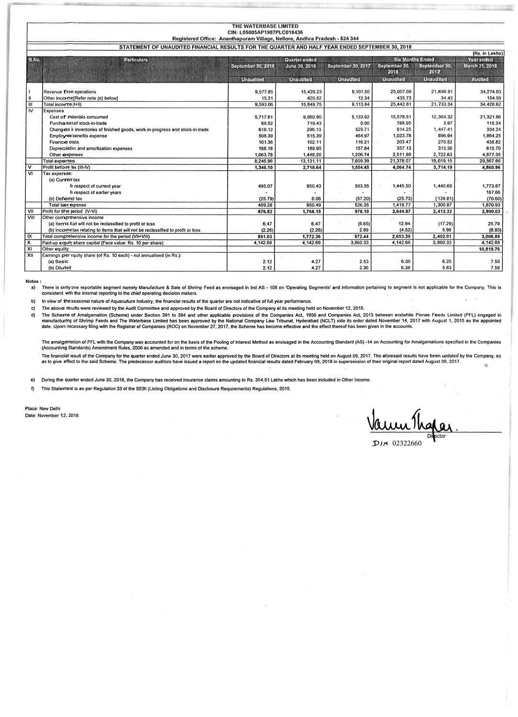|                           |                                                                                                 | THE WATERBASE LIMITED                                                      |                  |                    |                  |                         |                     |
|---------------------------|-------------------------------------------------------------------------------------------------|----------------------------------------------------------------------------|------------------|--------------------|------------------|-------------------------|---------------------|
|                           |                                                                                                 | CIN: L05005AP1987PLC018436                                                 |                  |                    |                  |                         |                     |
|                           |                                                                                                 | Registered Office: Ananthapuram Village, Nellore, Andhra Pradesh - 524 344 |                  |                    |                  |                         |                     |
|                           | STATEMENT OF UNAUDITED FINANCIAL RESULTS FOR THE QUARTER AND HALF YEAR ENDED SEPTEMBER 30, 2018 |                                                                            |                  |                    |                  |                         |                     |
|                           |                                                                                                 |                                                                            |                  |                    |                  |                         | (Rs. in Lakhs)      |
| S.No.                     | <b>Particulars</b>                                                                              |                                                                            | Quarter ended    |                    |                  | <b>Six Months Ended</b> | <b>Year ended</b>   |
|                           |                                                                                                 | <b>September 30, 2018</b>                                                  | June 30, 2018    | September 30, 2017 | September 30,    | September 30,           | March 31, 2018      |
|                           |                                                                                                 |                                                                            |                  |                    | 2018             | 2012                    |                     |
|                           |                                                                                                 | <b>Unaudited</b>                                                           | <b>Unaudited</b> | <b>Unaudited</b>   | <b>Unaudited</b> | <b>Unaudited</b>        | Audited             |
|                           |                                                                                                 |                                                                            |                  |                    |                  |                         |                     |
|                           | Revenue from operations                                                                         | 9,577.85                                                                   | 15,429.23        | 9,101.50           | 25,007.08        | 21,698.91               | 34,274.03           |
|                           | Other inco-me[Refer note (e) below]                                                             | 15.21                                                                      | 420.52           | 12.34              | 435.73           | 34.43                   | 154.59              |
| Ш                         | Total incorne (I+II)                                                                            | 9,593.06                                                                   | 15,849.75        | 9,113.84           | 25,442.81        | 21,733.34               | 34,428.62           |
| $\overline{N}$            | Expenses                                                                                        |                                                                            |                  |                    | 15,578.51        |                         |                     |
|                           | Cost of materials consumed<br>Purcha ses of stock-in-trade                                      | 5,717.61                                                                   | 9,860.90         | 5,133.92           | 788.95           | 12,364.32<br>3.97       | 21.321.96<br>115.34 |
|                           | Changes in inventories of finished goods, work-in-progress and stock-in-trade                   | 69.52<br>618.12                                                            | 719.43<br>296.13 | 0.00<br>529.71     | 914.25           | 1,447.41                | 334.24              |
|                           | Employee benefits expense                                                                       | 508.39                                                                     | 515.39           | 464.97             | 1,023.78         | 896.94                  | 1,864.25            |
|                           | Finance costs                                                                                   | 101.36                                                                     | 102.11           | 116.21             | 203.47           | 270.52                  | 438.82              |
|                           | Depreciation and amortization expenses                                                          | 168.18                                                                     | 188.95           | 157.84             | 357.13           | 313.36                  | 615.70              |
|                           | Other expenses                                                                                  | 1,063.78                                                                   | 1,448.20         | 1,206.74           | 2,511.98         | 2,722.63                | 4,877.35            |
|                           | Total expenses                                                                                  | 8,246.96                                                                   | 13,131.11        | 7:609.39           | 21,378.07        | 18,019.15               | 29,567.66           |
| v                         | Profit before tax (III-IV)                                                                      | 1,346.10                                                                   | 2,718.64         | 1,504.45           | 4,064.74         | 3,714.19                | 4,860.96            |
| v                         | Tax experise:                                                                                   |                                                                            |                  |                    |                  |                         |                     |
|                           | (a) Current tax                                                                                 |                                                                            |                  |                    |                  |                         |                     |
|                           | In respect of current year                                                                      | 495.07                                                                     | 950.43           | 583.55             | 1,445.50         | 1,440.68                | 1,773.87            |
|                           | In respect of earlier years                                                                     |                                                                            |                  |                    |                  |                         | 167.66              |
|                           | (b) Deferred tax                                                                                | (25.79)                                                                    | 0.06             | (57.20)            | (25.73)          | (139.81)                | (70.60)             |
|                           | Total tax expense                                                                               | 469.28                                                                     | 950.49           | 526.35             | 1,419.77         | 1,300.87                | 1,870.93            |
| VII                       | Profit for the reriod (V-VI)                                                                    | 876.82                                                                     | 1.768.15         | 978.10             | 2,644.97         | 2,413.32                | 2,990.03            |
| VIII                      | Other comprehensive income                                                                      |                                                                            |                  |                    |                  |                         |                     |
|                           | (a) Items that will not be reclassified to profit or loss                                       | 6.47                                                                       | 6.47             | (8.65)             | 12.94            | (17.29)                 | 25.79               |
|                           | (b) Incometax relating to items that will not be reclassified to profit or loss                 | (2.26)                                                                     | (2.26)           | 2.99               | (4.52)           | 5.98                    | (8.93)              |
| IX                        | Total comprehensive income for the period (VII+VIII)                                            | 881.03                                                                     | 1,772.36         | 972.44             | 2,653.39         | 2,402.01                | 3,006.89            |
| $\boldsymbol{\mathsf{x}}$ | Paid-up equity share capital (Face value: Rs. 10 per share)                                     | 4.142.68                                                                   | 4,142.68         | 3,860.33           | 4,142.68         | 3,860.33                | 4,142.68            |
| $\overline{x}$            | Other equity                                                                                    |                                                                            |                  |                    |                  |                         | 10,819.76           |
| XII                       | Earnings per equity share (of Rs. 10 each) - not annualised (in Rs.):                           |                                                                            |                  |                    |                  |                         |                     |
|                           | (a) Basic                                                                                       | 2.12                                                                       | 4.27             | 2.53               | 6.38             | 6.25                    | 7.58                |
|                           | (b) Diluted                                                                                     | 2.12                                                                       | 4.27             | 2.36               | 6.38             | 5.83                    | 7.58                |

Notes:

(b) Diluted

a) There is onlyone reportable segment namely Manufacture & Sale of Shrimp Feed as envisaged in Ind AS - 108 on 'Operating Segments' and information pertaining to segment is not applicable for the Company. This is consistent with the internal reporting to the chief operating decision makers.

b) In view of the seasonal nature of Aquaculture Industry, the financial results of the quarter are not indicative of full year performance.

c) The above results were reviewed by the Audit Committee and approved by the Board of Directors of the Company at its meeting held on November 12, 2018.

The Scherne of Amalgamation (Scheme) under Section 391 to 394 and other applicable provisions of the Companies Act, 1956 and Companies Act, 2013 between erstwhile Pinnae Feeds Limited (PFL) engaged in<br>manufacturing of Shri d)

The amalgamation of PFL with the Company was accounted for on the basis of the Pooling of Interest Method as envisaged in the Accounting Standard (AS) -14 on Accounting for Amalgamations specified in the Companies<br>(Account

The financial result of the Company for the quarter ended June 30, 2017 were earlier approved by the Board of Directors at its meeting held on August 09, 2017. The aforesaid results have been updated by the Company, so<br>as  $\alpha$ 

 $e)$ During the quarter ended June 30, 2018, the Company has received insurance claims amounting to Rs. 354.51 Lakhs which has been included in Other Income.

 $\ddot{\theta}$ This Statement is as per Regulation 33 of the SEBI (Listing Obligations and Disclosure Requirements) Regulations, 2015.

Place: New Delhi Date: November 12, 2018

#### $D/N$  02322660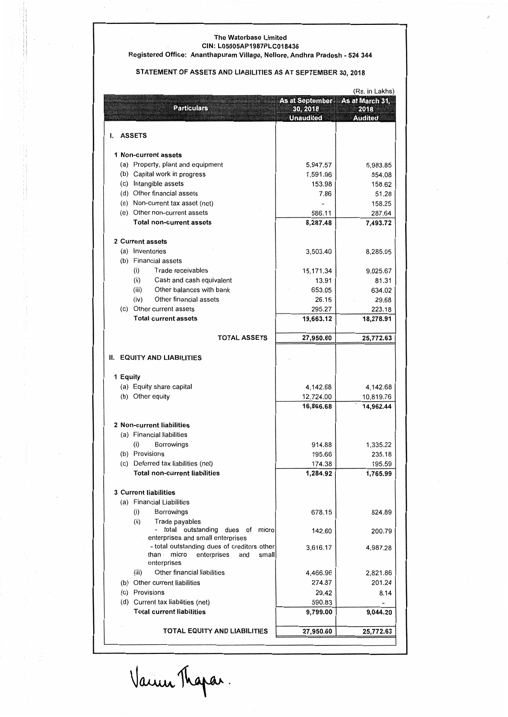#### **The Waterbase Limited CIN: L05005AP1987PLC018436**

#### **Registered Office: Ananthapuram Village, Nellore, Andhra Pradesh - 524 344**

#### **STATEMENT OF ASSETS AND LIABILITIES AS AT SEPTEMBER 30, 2018**

| As at September As at March 31,<br><b>Particulars</b><br>30, 2018<br>2018<br><b>Unaudited</b><br><b>Audited</b><br><b>ASSETS</b><br>ı.<br>1 Non-current assets<br>(a) Property, plant and equipment<br>5,947.57<br>5,983.85<br>(b) Capital work in progress<br>1,591.96<br>854.08<br>(c) Intangible assets<br>153.98<br>158.62<br>(d) Other financial assets<br>7.86<br>51.28<br>(e) Non-current tax asset (net)<br>158.25<br>(e) Other non-current assets<br>586.11<br>287.64<br><b>Total non-current assets</b><br>8,287.48<br>7,493.72<br>2 Current assets<br>(a) Inventories<br>3,503.40<br>8,285.05<br>(b) Financial assets<br>Trade receivables<br>15,171.34<br>9.025.67<br>(i)<br>(ii)<br>Cash and cash equivalent<br>81.31<br>13.91<br>Other balances with bank<br>653.05<br>634.02<br>(iii)<br>Other financial assets<br>(iv)<br>26.15<br>29.68<br>(c) Other current assets<br>295.27<br>223.18<br><b>Total current assets</b><br>19,663.12<br>18,278.91<br><b>TOTAL ASSETS</b><br>27,950.60<br>25,772.63<br><b>EQUITY AND LIABILITIES</b><br>Н.<br>1 Equity<br>(a) Equity share capital<br>4,142.68<br>4,142.68<br>(b) Other equity<br>12,724.00<br>10,819.76<br>16,866.68<br>14,962.44<br>2 Non-current liabilities<br>(a) Financial liabilities<br>914.88<br>Borrowings<br>1,335.22<br>(i)<br>(b) Provisions<br>235.18<br>195.66<br>(c) Deferred tax liabilities (net)<br>174.38<br>195.59<br><b>Total non-current liabilities</b><br>1,284.92<br>1,765.99<br><b>3 Current liabilities</b><br>(a) Financial Liabilities<br>Borrowings<br>678.15<br>824.89<br>(i)<br>(ii)<br>Trade payables<br>total outstanding dues of<br>micro<br>200.79<br>142.60<br>enterprises and small enterprises<br>- total outstanding dues of creditors other<br>3,616.17<br>4,987.28<br>micro<br>enterprises<br>than⊮<br>and<br>small<br>enterprises<br>Other financial liabilities<br>(iii)<br>4,466.96<br>2,821.86<br>274.87<br>201.24<br>(b) Other current liabilities<br>(c) Provisions<br>29.42<br>8.14<br>(d) Current tax liabilities (net)<br>590.83<br><b>Total current liabilities</b><br>9,799.00<br>9,044.20<br>TOTAL EQUITY AND LIABILITIES<br>27,950.60<br>25,772.63 | (Rs. in Lakhs) |  |  |  |  |
|---------------------------------------------------------------------------------------------------------------------------------------------------------------------------------------------------------------------------------------------------------------------------------------------------------------------------------------------------------------------------------------------------------------------------------------------------------------------------------------------------------------------------------------------------------------------------------------------------------------------------------------------------------------------------------------------------------------------------------------------------------------------------------------------------------------------------------------------------------------------------------------------------------------------------------------------------------------------------------------------------------------------------------------------------------------------------------------------------------------------------------------------------------------------------------------------------------------------------------------------------------------------------------------------------------------------------------------------------------------------------------------------------------------------------------------------------------------------------------------------------------------------------------------------------------------------------------------------------------------------------------------------------------------------------------------------------------------------------------------------------------------------------------------------------------------------------------------------------------------------------------------------------------------------------------------------------------------------------------------------------------------------------------------------------------------------------------------------------------------------------------------------------------------------------|----------------|--|--|--|--|
|                                                                                                                                                                                                                                                                                                                                                                                                                                                                                                                                                                                                                                                                                                                                                                                                                                                                                                                                                                                                                                                                                                                                                                                                                                                                                                                                                                                                                                                                                                                                                                                                                                                                                                                                                                                                                                                                                                                                                                                                                                                                                                                                                                           |                |  |  |  |  |
|                                                                                                                                                                                                                                                                                                                                                                                                                                                                                                                                                                                                                                                                                                                                                                                                                                                                                                                                                                                                                                                                                                                                                                                                                                                                                                                                                                                                                                                                                                                                                                                                                                                                                                                                                                                                                                                                                                                                                                                                                                                                                                                                                                           |                |  |  |  |  |
|                                                                                                                                                                                                                                                                                                                                                                                                                                                                                                                                                                                                                                                                                                                                                                                                                                                                                                                                                                                                                                                                                                                                                                                                                                                                                                                                                                                                                                                                                                                                                                                                                                                                                                                                                                                                                                                                                                                                                                                                                                                                                                                                                                           |                |  |  |  |  |
|                                                                                                                                                                                                                                                                                                                                                                                                                                                                                                                                                                                                                                                                                                                                                                                                                                                                                                                                                                                                                                                                                                                                                                                                                                                                                                                                                                                                                                                                                                                                                                                                                                                                                                                                                                                                                                                                                                                                                                                                                                                                                                                                                                           |                |  |  |  |  |
|                                                                                                                                                                                                                                                                                                                                                                                                                                                                                                                                                                                                                                                                                                                                                                                                                                                                                                                                                                                                                                                                                                                                                                                                                                                                                                                                                                                                                                                                                                                                                                                                                                                                                                                                                                                                                                                                                                                                                                                                                                                                                                                                                                           |                |  |  |  |  |
|                                                                                                                                                                                                                                                                                                                                                                                                                                                                                                                                                                                                                                                                                                                                                                                                                                                                                                                                                                                                                                                                                                                                                                                                                                                                                                                                                                                                                                                                                                                                                                                                                                                                                                                                                                                                                                                                                                                                                                                                                                                                                                                                                                           |                |  |  |  |  |
|                                                                                                                                                                                                                                                                                                                                                                                                                                                                                                                                                                                                                                                                                                                                                                                                                                                                                                                                                                                                                                                                                                                                                                                                                                                                                                                                                                                                                                                                                                                                                                                                                                                                                                                                                                                                                                                                                                                                                                                                                                                                                                                                                                           |                |  |  |  |  |
|                                                                                                                                                                                                                                                                                                                                                                                                                                                                                                                                                                                                                                                                                                                                                                                                                                                                                                                                                                                                                                                                                                                                                                                                                                                                                                                                                                                                                                                                                                                                                                                                                                                                                                                                                                                                                                                                                                                                                                                                                                                                                                                                                                           |                |  |  |  |  |
|                                                                                                                                                                                                                                                                                                                                                                                                                                                                                                                                                                                                                                                                                                                                                                                                                                                                                                                                                                                                                                                                                                                                                                                                                                                                                                                                                                                                                                                                                                                                                                                                                                                                                                                                                                                                                                                                                                                                                                                                                                                                                                                                                                           |                |  |  |  |  |
|                                                                                                                                                                                                                                                                                                                                                                                                                                                                                                                                                                                                                                                                                                                                                                                                                                                                                                                                                                                                                                                                                                                                                                                                                                                                                                                                                                                                                                                                                                                                                                                                                                                                                                                                                                                                                                                                                                                                                                                                                                                                                                                                                                           |                |  |  |  |  |
|                                                                                                                                                                                                                                                                                                                                                                                                                                                                                                                                                                                                                                                                                                                                                                                                                                                                                                                                                                                                                                                                                                                                                                                                                                                                                                                                                                                                                                                                                                                                                                                                                                                                                                                                                                                                                                                                                                                                                                                                                                                                                                                                                                           |                |  |  |  |  |
|                                                                                                                                                                                                                                                                                                                                                                                                                                                                                                                                                                                                                                                                                                                                                                                                                                                                                                                                                                                                                                                                                                                                                                                                                                                                                                                                                                                                                                                                                                                                                                                                                                                                                                                                                                                                                                                                                                                                                                                                                                                                                                                                                                           |                |  |  |  |  |
|                                                                                                                                                                                                                                                                                                                                                                                                                                                                                                                                                                                                                                                                                                                                                                                                                                                                                                                                                                                                                                                                                                                                                                                                                                                                                                                                                                                                                                                                                                                                                                                                                                                                                                                                                                                                                                                                                                                                                                                                                                                                                                                                                                           |                |  |  |  |  |
|                                                                                                                                                                                                                                                                                                                                                                                                                                                                                                                                                                                                                                                                                                                                                                                                                                                                                                                                                                                                                                                                                                                                                                                                                                                                                                                                                                                                                                                                                                                                                                                                                                                                                                                                                                                                                                                                                                                                                                                                                                                                                                                                                                           |                |  |  |  |  |
|                                                                                                                                                                                                                                                                                                                                                                                                                                                                                                                                                                                                                                                                                                                                                                                                                                                                                                                                                                                                                                                                                                                                                                                                                                                                                                                                                                                                                                                                                                                                                                                                                                                                                                                                                                                                                                                                                                                                                                                                                                                                                                                                                                           |                |  |  |  |  |
|                                                                                                                                                                                                                                                                                                                                                                                                                                                                                                                                                                                                                                                                                                                                                                                                                                                                                                                                                                                                                                                                                                                                                                                                                                                                                                                                                                                                                                                                                                                                                                                                                                                                                                                                                                                                                                                                                                                                                                                                                                                                                                                                                                           |                |  |  |  |  |
|                                                                                                                                                                                                                                                                                                                                                                                                                                                                                                                                                                                                                                                                                                                                                                                                                                                                                                                                                                                                                                                                                                                                                                                                                                                                                                                                                                                                                                                                                                                                                                                                                                                                                                                                                                                                                                                                                                                                                                                                                                                                                                                                                                           |                |  |  |  |  |
|                                                                                                                                                                                                                                                                                                                                                                                                                                                                                                                                                                                                                                                                                                                                                                                                                                                                                                                                                                                                                                                                                                                                                                                                                                                                                                                                                                                                                                                                                                                                                                                                                                                                                                                                                                                                                                                                                                                                                                                                                                                                                                                                                                           |                |  |  |  |  |
|                                                                                                                                                                                                                                                                                                                                                                                                                                                                                                                                                                                                                                                                                                                                                                                                                                                                                                                                                                                                                                                                                                                                                                                                                                                                                                                                                                                                                                                                                                                                                                                                                                                                                                                                                                                                                                                                                                                                                                                                                                                                                                                                                                           |                |  |  |  |  |
|                                                                                                                                                                                                                                                                                                                                                                                                                                                                                                                                                                                                                                                                                                                                                                                                                                                                                                                                                                                                                                                                                                                                                                                                                                                                                                                                                                                                                                                                                                                                                                                                                                                                                                                                                                                                                                                                                                                                                                                                                                                                                                                                                                           |                |  |  |  |  |
|                                                                                                                                                                                                                                                                                                                                                                                                                                                                                                                                                                                                                                                                                                                                                                                                                                                                                                                                                                                                                                                                                                                                                                                                                                                                                                                                                                                                                                                                                                                                                                                                                                                                                                                                                                                                                                                                                                                                                                                                                                                                                                                                                                           |                |  |  |  |  |
|                                                                                                                                                                                                                                                                                                                                                                                                                                                                                                                                                                                                                                                                                                                                                                                                                                                                                                                                                                                                                                                                                                                                                                                                                                                                                                                                                                                                                                                                                                                                                                                                                                                                                                                                                                                                                                                                                                                                                                                                                                                                                                                                                                           |                |  |  |  |  |
|                                                                                                                                                                                                                                                                                                                                                                                                                                                                                                                                                                                                                                                                                                                                                                                                                                                                                                                                                                                                                                                                                                                                                                                                                                                                                                                                                                                                                                                                                                                                                                                                                                                                                                                                                                                                                                                                                                                                                                                                                                                                                                                                                                           |                |  |  |  |  |
|                                                                                                                                                                                                                                                                                                                                                                                                                                                                                                                                                                                                                                                                                                                                                                                                                                                                                                                                                                                                                                                                                                                                                                                                                                                                                                                                                                                                                                                                                                                                                                                                                                                                                                                                                                                                                                                                                                                                                                                                                                                                                                                                                                           |                |  |  |  |  |
|                                                                                                                                                                                                                                                                                                                                                                                                                                                                                                                                                                                                                                                                                                                                                                                                                                                                                                                                                                                                                                                                                                                                                                                                                                                                                                                                                                                                                                                                                                                                                                                                                                                                                                                                                                                                                                                                                                                                                                                                                                                                                                                                                                           |                |  |  |  |  |
|                                                                                                                                                                                                                                                                                                                                                                                                                                                                                                                                                                                                                                                                                                                                                                                                                                                                                                                                                                                                                                                                                                                                                                                                                                                                                                                                                                                                                                                                                                                                                                                                                                                                                                                                                                                                                                                                                                                                                                                                                                                                                                                                                                           |                |  |  |  |  |
|                                                                                                                                                                                                                                                                                                                                                                                                                                                                                                                                                                                                                                                                                                                                                                                                                                                                                                                                                                                                                                                                                                                                                                                                                                                                                                                                                                                                                                                                                                                                                                                                                                                                                                                                                                                                                                                                                                                                                                                                                                                                                                                                                                           |                |  |  |  |  |
|                                                                                                                                                                                                                                                                                                                                                                                                                                                                                                                                                                                                                                                                                                                                                                                                                                                                                                                                                                                                                                                                                                                                                                                                                                                                                                                                                                                                                                                                                                                                                                                                                                                                                                                                                                                                                                                                                                                                                                                                                                                                                                                                                                           |                |  |  |  |  |
|                                                                                                                                                                                                                                                                                                                                                                                                                                                                                                                                                                                                                                                                                                                                                                                                                                                                                                                                                                                                                                                                                                                                                                                                                                                                                                                                                                                                                                                                                                                                                                                                                                                                                                                                                                                                                                                                                                                                                                                                                                                                                                                                                                           |                |  |  |  |  |
|                                                                                                                                                                                                                                                                                                                                                                                                                                                                                                                                                                                                                                                                                                                                                                                                                                                                                                                                                                                                                                                                                                                                                                                                                                                                                                                                                                                                                                                                                                                                                                                                                                                                                                                                                                                                                                                                                                                                                                                                                                                                                                                                                                           |                |  |  |  |  |
|                                                                                                                                                                                                                                                                                                                                                                                                                                                                                                                                                                                                                                                                                                                                                                                                                                                                                                                                                                                                                                                                                                                                                                                                                                                                                                                                                                                                                                                                                                                                                                                                                                                                                                                                                                                                                                                                                                                                                                                                                                                                                                                                                                           |                |  |  |  |  |
|                                                                                                                                                                                                                                                                                                                                                                                                                                                                                                                                                                                                                                                                                                                                                                                                                                                                                                                                                                                                                                                                                                                                                                                                                                                                                                                                                                                                                                                                                                                                                                                                                                                                                                                                                                                                                                                                                                                                                                                                                                                                                                                                                                           |                |  |  |  |  |
|                                                                                                                                                                                                                                                                                                                                                                                                                                                                                                                                                                                                                                                                                                                                                                                                                                                                                                                                                                                                                                                                                                                                                                                                                                                                                                                                                                                                                                                                                                                                                                                                                                                                                                                                                                                                                                                                                                                                                                                                                                                                                                                                                                           |                |  |  |  |  |
|                                                                                                                                                                                                                                                                                                                                                                                                                                                                                                                                                                                                                                                                                                                                                                                                                                                                                                                                                                                                                                                                                                                                                                                                                                                                                                                                                                                                                                                                                                                                                                                                                                                                                                                                                                                                                                                                                                                                                                                                                                                                                                                                                                           |                |  |  |  |  |
|                                                                                                                                                                                                                                                                                                                                                                                                                                                                                                                                                                                                                                                                                                                                                                                                                                                                                                                                                                                                                                                                                                                                                                                                                                                                                                                                                                                                                                                                                                                                                                                                                                                                                                                                                                                                                                                                                                                                                                                                                                                                                                                                                                           |                |  |  |  |  |
|                                                                                                                                                                                                                                                                                                                                                                                                                                                                                                                                                                                                                                                                                                                                                                                                                                                                                                                                                                                                                                                                                                                                                                                                                                                                                                                                                                                                                                                                                                                                                                                                                                                                                                                                                                                                                                                                                                                                                                                                                                                                                                                                                                           |                |  |  |  |  |
|                                                                                                                                                                                                                                                                                                                                                                                                                                                                                                                                                                                                                                                                                                                                                                                                                                                                                                                                                                                                                                                                                                                                                                                                                                                                                                                                                                                                                                                                                                                                                                                                                                                                                                                                                                                                                                                                                                                                                                                                                                                                                                                                                                           |                |  |  |  |  |
|                                                                                                                                                                                                                                                                                                                                                                                                                                                                                                                                                                                                                                                                                                                                                                                                                                                                                                                                                                                                                                                                                                                                                                                                                                                                                                                                                                                                                                                                                                                                                                                                                                                                                                                                                                                                                                                                                                                                                                                                                                                                                                                                                                           |                |  |  |  |  |
|                                                                                                                                                                                                                                                                                                                                                                                                                                                                                                                                                                                                                                                                                                                                                                                                                                                                                                                                                                                                                                                                                                                                                                                                                                                                                                                                                                                                                                                                                                                                                                                                                                                                                                                                                                                                                                                                                                                                                                                                                                                                                                                                                                           |                |  |  |  |  |
|                                                                                                                                                                                                                                                                                                                                                                                                                                                                                                                                                                                                                                                                                                                                                                                                                                                                                                                                                                                                                                                                                                                                                                                                                                                                                                                                                                                                                                                                                                                                                                                                                                                                                                                                                                                                                                                                                                                                                                                                                                                                                                                                                                           |                |  |  |  |  |
|                                                                                                                                                                                                                                                                                                                                                                                                                                                                                                                                                                                                                                                                                                                                                                                                                                                                                                                                                                                                                                                                                                                                                                                                                                                                                                                                                                                                                                                                                                                                                                                                                                                                                                                                                                                                                                                                                                                                                                                                                                                                                                                                                                           |                |  |  |  |  |
|                                                                                                                                                                                                                                                                                                                                                                                                                                                                                                                                                                                                                                                                                                                                                                                                                                                                                                                                                                                                                                                                                                                                                                                                                                                                                                                                                                                                                                                                                                                                                                                                                                                                                                                                                                                                                                                                                                                                                                                                                                                                                                                                                                           |                |  |  |  |  |
|                                                                                                                                                                                                                                                                                                                                                                                                                                                                                                                                                                                                                                                                                                                                                                                                                                                                                                                                                                                                                                                                                                                                                                                                                                                                                                                                                                                                                                                                                                                                                                                                                                                                                                                                                                                                                                                                                                                                                                                                                                                                                                                                                                           |                |  |  |  |  |
|                                                                                                                                                                                                                                                                                                                                                                                                                                                                                                                                                                                                                                                                                                                                                                                                                                                                                                                                                                                                                                                                                                                                                                                                                                                                                                                                                                                                                                                                                                                                                                                                                                                                                                                                                                                                                                                                                                                                                                                                                                                                                                                                                                           |                |  |  |  |  |
|                                                                                                                                                                                                                                                                                                                                                                                                                                                                                                                                                                                                                                                                                                                                                                                                                                                                                                                                                                                                                                                                                                                                                                                                                                                                                                                                                                                                                                                                                                                                                                                                                                                                                                                                                                                                                                                                                                                                                                                                                                                                                                                                                                           |                |  |  |  |  |
|                                                                                                                                                                                                                                                                                                                                                                                                                                                                                                                                                                                                                                                                                                                                                                                                                                                                                                                                                                                                                                                                                                                                                                                                                                                                                                                                                                                                                                                                                                                                                                                                                                                                                                                                                                                                                                                                                                                                                                                                                                                                                                                                                                           |                |  |  |  |  |
|                                                                                                                                                                                                                                                                                                                                                                                                                                                                                                                                                                                                                                                                                                                                                                                                                                                                                                                                                                                                                                                                                                                                                                                                                                                                                                                                                                                                                                                                                                                                                                                                                                                                                                                                                                                                                                                                                                                                                                                                                                                                                                                                                                           |                |  |  |  |  |
|                                                                                                                                                                                                                                                                                                                                                                                                                                                                                                                                                                                                                                                                                                                                                                                                                                                                                                                                                                                                                                                                                                                                                                                                                                                                                                                                                                                                                                                                                                                                                                                                                                                                                                                                                                                                                                                                                                                                                                                                                                                                                                                                                                           |                |  |  |  |  |
|                                                                                                                                                                                                                                                                                                                                                                                                                                                                                                                                                                                                                                                                                                                                                                                                                                                                                                                                                                                                                                                                                                                                                                                                                                                                                                                                                                                                                                                                                                                                                                                                                                                                                                                                                                                                                                                                                                                                                                                                                                                                                                                                                                           |                |  |  |  |  |
|                                                                                                                                                                                                                                                                                                                                                                                                                                                                                                                                                                                                                                                                                                                                                                                                                                                                                                                                                                                                                                                                                                                                                                                                                                                                                                                                                                                                                                                                                                                                                                                                                                                                                                                                                                                                                                                                                                                                                                                                                                                                                                                                                                           |                |  |  |  |  |
|                                                                                                                                                                                                                                                                                                                                                                                                                                                                                                                                                                                                                                                                                                                                                                                                                                                                                                                                                                                                                                                                                                                                                                                                                                                                                                                                                                                                                                                                                                                                                                                                                                                                                                                                                                                                                                                                                                                                                                                                                                                                                                                                                                           |                |  |  |  |  |
|                                                                                                                                                                                                                                                                                                                                                                                                                                                                                                                                                                                                                                                                                                                                                                                                                                                                                                                                                                                                                                                                                                                                                                                                                                                                                                                                                                                                                                                                                                                                                                                                                                                                                                                                                                                                                                                                                                                                                                                                                                                                                                                                                                           |                |  |  |  |  |
|                                                                                                                                                                                                                                                                                                                                                                                                                                                                                                                                                                                                                                                                                                                                                                                                                                                                                                                                                                                                                                                                                                                                                                                                                                                                                                                                                                                                                                                                                                                                                                                                                                                                                                                                                                                                                                                                                                                                                                                                                                                                                                                                                                           |                |  |  |  |  |
|                                                                                                                                                                                                                                                                                                                                                                                                                                                                                                                                                                                                                                                                                                                                                                                                                                                                                                                                                                                                                                                                                                                                                                                                                                                                                                                                                                                                                                                                                                                                                                                                                                                                                                                                                                                                                                                                                                                                                                                                                                                                                                                                                                           |                |  |  |  |  |
|                                                                                                                                                                                                                                                                                                                                                                                                                                                                                                                                                                                                                                                                                                                                                                                                                                                                                                                                                                                                                                                                                                                                                                                                                                                                                                                                                                                                                                                                                                                                                                                                                                                                                                                                                                                                                                                                                                                                                                                                                                                                                                                                                                           |                |  |  |  |  |
|                                                                                                                                                                                                                                                                                                                                                                                                                                                                                                                                                                                                                                                                                                                                                                                                                                                                                                                                                                                                                                                                                                                                                                                                                                                                                                                                                                                                                                                                                                                                                                                                                                                                                                                                                                                                                                                                                                                                                                                                                                                                                                                                                                           |                |  |  |  |  |

Vainn Thopar.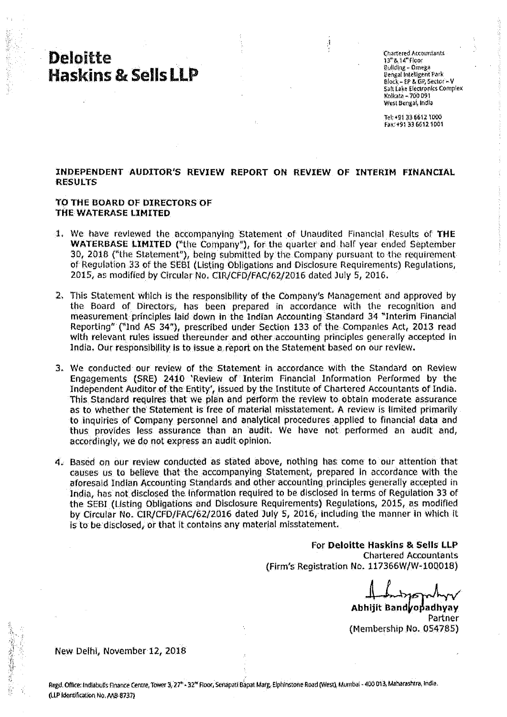## **Deloitte Haskins & Sells LLP**

Chartered Accountants 13"8 14"Floor Bullding - Omega Bengal Intelligent Park Block-EP & GP Sector-V **Salt Lake Electronics Complex** Kolkata - 700 091 West Bengal, India

Tel: +91 33 6612 1000 Fax: +91 33 6612 1001

### INDEPENDENT AUDITOR'S REVIEW REPORT ON REVIEW OF INTERIM FINANCIAL **RESULTS**

 $\mathcal{A}$ 

#### TO THE BOARD OF DIRECTORS OF THE WATERASE LIMITED

- 1. We have reviewed the accompanying Statement of Unaudited Financial Results of THE WATERBASE LIMITED ("the Company"), for the quarter and half year ended September 30, 2018 ("the Statement"), being submitted by the Company pursuant to the requirement of Regulation 33 of the SEBI (Listing Obligations and Disclosure Requirements) Regulations, 2015, as modified by Circular No. CIR/CFD/FAC/62/2016 dated July 5, 2016.
- 2. This Statement which is the responsibility of the Company's Management and approved by the Board of Directors, has been prepared in accordance with the recognition and measurement principles laid down in the Indian Accounting Standard 34 "Interim Financial Reporting" ("Ind AS 34"), prescribed under Section 133 of the Companies Act, 2013 read with relevant rules issued thereunder and other accounting principles generally accepted in India. Our responsibility is to issue a report on the Statement based on our review.
- 3. We conducted our review of the Statement in accordance with the Standard on Review Engagements (SRE) 2410 'Review of Interim Financial Information Performed by the Independent Auditor of the Entity', issued by the Institute of Chartered Accountants of India. This Standard requires that we plan and perform the review to obtain moderate assurance as to whether the Statement is free of material misstatement. A review is limited primarily to inquiries of Company personnel and analytical procedures applied to financial data and thus provides less assurance than an audit. We have not performed an audit and, accordingly, we do not express an audit opinion.
- 4. Based on our review conducted as stated above, nothing has come to our attention that causes us to believe that the accompanying Statement, prepared in accordance with the aforesaid Indian Accounting Standards and other accounting principles generally accepted in India, has not disclosed the information required to be disclosed in terms of Requiation 33 of the SEBI (Listing Obligations and Disclosure Requirements) Regulations, 2015, as modified by Circular No. CIR/CFD/FAC/62/2016 dated July 5, 2016, including the manner in which it is to be disclosed, or that it contains any material misstatement.

For Deloitte Haskins & Sells LLP **Chartered Accountants** (Firm's Registration No. 117366W/W-100018)

Abhliit Bandvopadhvav Partner (Membership No. 054785)

New Delhi, November 12, 2018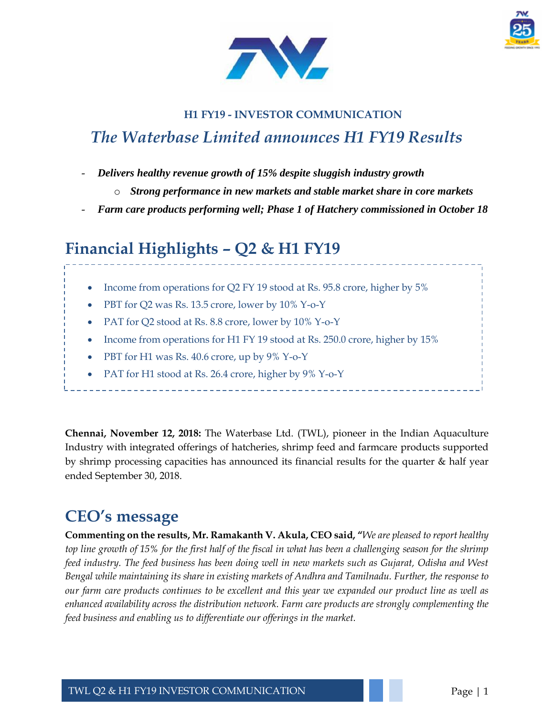



## **H1 FY19 - INVESTOR COMMUNICATION** *The Waterbase Limited announces H1 FY19 Results*

- *Delivers healthy revenue growth of 15% despite sluggish industry growth*
	- o *Strong performance in new markets and stable market share in core markets*
- *Farm care products performing well; Phase 1 of Hatchery commissioned in October 18*

# **Financial Highlights – Q2 & H1 FY19**

- Income from operations for Q2 FY 19 stood at Rs. 95.8 crore, higher by 5%
- PBT for Q2 was Rs. 13.5 crore, lower by 10% Y-o-Y
- PAT for Q2 stood at Rs. 8.8 crore, lower by 10% Y-o-Y
- Income from operations for H1 FY 19 stood at Rs. 250.0 crore, higher by 15%
- PBT for H1 was Rs. 40.6 crore, up by 9% Y-o-Y
- PAT for H1 stood at Rs. 26.4 crore, higher by 9% Y-o-Y

**Chennai, November 12, 2018:** The Waterbase Ltd. (TWL), pioneer in the Indian Aquaculture Industry with integrated offerings of hatcheries, shrimp feed and farmcare products supported by shrimp processing capacities has announced its financial results for the quarter & half year ended September 30, 2018.

# **CEO's message**

**Commenting on the results, Mr. Ramakanth V. Akula, CEO said, "***We are pleased to report healthy top line growth of 15% for the first half of the fiscal in what has been a challenging season for the shrimp feed industry. The feed business has been doing well in new markets such as Gujarat, Odisha and West Bengal while maintaining its share in existing markets of Andhra and Tamilnadu. Further, the response to our farm care products continues to be excellent and this year we expanded our product line as well as enhanced availability across the distribution network. Farm care products are strongly complementing the feed business and enabling us to differentiate our offerings in the market.*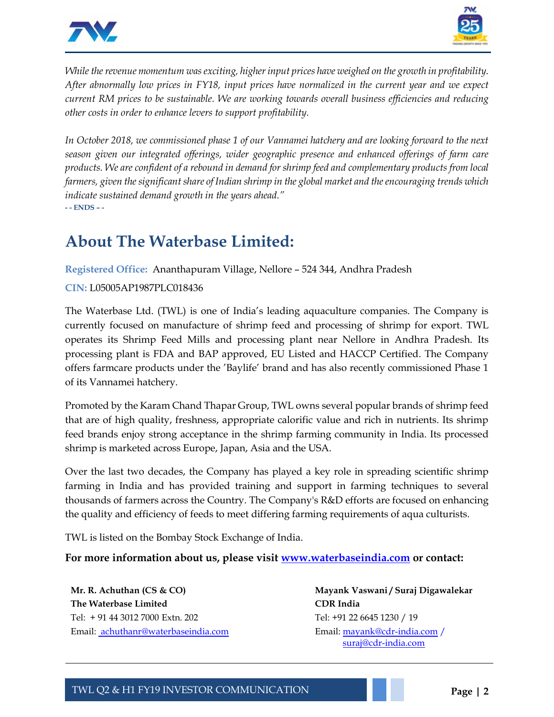



*While the revenue momentum was exciting, higher input prices have weighed on the growth in profitability. After abnormally low prices in FY18, input prices have normalized in the current year and we expect current RM prices to be sustainable. We are working towards overall business efficiencies and reducing other costs in order to enhance levers to support profitability.*

*In October 2018, we commissioned phase 1 of our Vannamei hatchery and are looking forward to the next season given our integrated offerings, wider geographic presence and enhanced offerings of farm care products. We are confident of a rebound in demand for shrimp feed and complementary products from local farmers, given the significant share of Indian shrimp in the global market and the encouraging trends which indicate sustained demand growth in the years ahead."*  **- - ENDS – -**

## **About The Waterbase Limited:**

**Registered Office:** Ananthapuram Village, Nellore – 524 344, Andhra Pradesh

### **CIN:** L05005AP1987PLC018436

The Waterbase Ltd. (TWL) is one of India's leading aquaculture companies. The Company is currently focused on manufacture of shrimp feed and processing of shrimp for export. TWL operates its Shrimp Feed Mills and processing plant near Nellore in Andhra Pradesh. Its processing plant is FDA and BAP approved, EU Listed and HACCP Certified. The Company offers farmcare products under the 'Baylife' brand and has also recently commissioned Phase 1 of its Vannamei hatchery.

Promoted by the Karam Chand Thapar Group, TWL owns several popular brands of shrimp feed that are of high quality, freshness, appropriate calorific value and rich in nutrients. Its shrimp feed brands enjoy strong acceptance in the shrimp farming community in India. Its processed shrimp is marketed across Europe, Japan, Asia and the USA.

Over the last two decades, the Company has played a key role in spreading scientific shrimp farming in India and has provided training and support in farming techniques to several thousands of farmers across the Country. The Company's R&D efforts are focused on enhancing the quality and efficiency of feeds to meet differing farming requirements of aqua culturists.

TWL is listed on the Bombay Stock Exchange of India.

**For more information about us, please visit [www.waterbaseindia.com](http://www.waterbaseindia.com/) or contact:** 

**Mr. R. Achuthan (CS & CO) The Waterbase Limited** Tel: + 91 44 3012 7000 Extn. 202 Email: [achuthanr@waterbaseindia.com](mailto:gvenkatram@waterbaseindia.com)

**Mayank Vaswani / Suraj Digawalekar CDR India** Tel: +91 22 6645 1230 / 19 Email: [mayank@cdr-india.com](mailto:mayank@cdr-india.com) / [suraj@cdr-india.com](mailto:suraj@cdr-india.com)